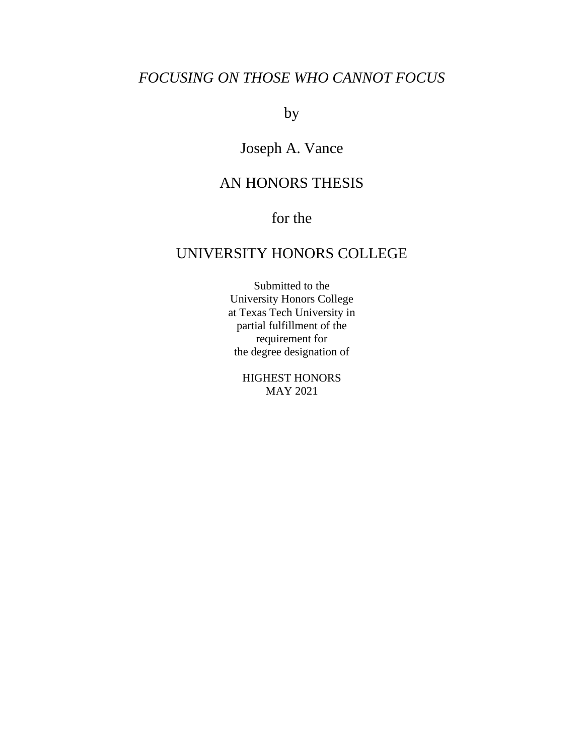# *FOCUSING ON THOSE WHO CANNOT FOCUS*

by

# Joseph A. Vance

# AN HONORS THESIS

# for the

# UNIVERSITY HONORS COLLEGE

Submitted to the University Honors College at Texas Tech University in partial fulfillment of the requirement for the degree designation of

> HIGHEST HONORS MAY 2021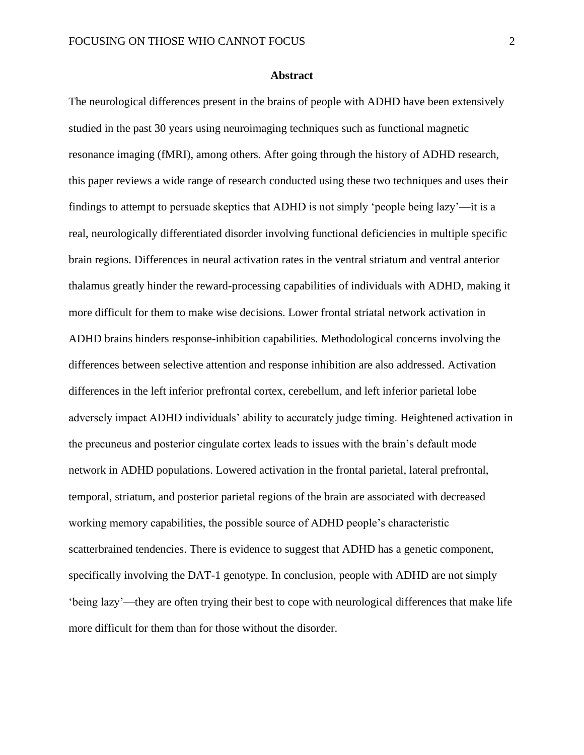## **Abstract**

The neurological differences present in the brains of people with ADHD have been extensively studied in the past 30 years using neuroimaging techniques such as functional magnetic resonance imaging (fMRI), among others. After going through the history of ADHD research, this paper reviews a wide range of research conducted using these two techniques and uses their findings to attempt to persuade skeptics that ADHD is not simply 'people being lazy'—it is a real, neurologically differentiated disorder involving functional deficiencies in multiple specific brain regions. Differences in neural activation rates in the ventral striatum and ventral anterior thalamus greatly hinder the reward-processing capabilities of individuals with ADHD, making it more difficult for them to make wise decisions. Lower frontal striatal network activation in ADHD brains hinders response-inhibition capabilities. Methodological concerns involving the differences between selective attention and response inhibition are also addressed. Activation differences in the left inferior prefrontal cortex, cerebellum, and left inferior parietal lobe adversely impact ADHD individuals' ability to accurately judge timing. Heightened activation in the precuneus and posterior cingulate cortex leads to issues with the brain's default mode network in ADHD populations. Lowered activation in the frontal parietal, lateral prefrontal, temporal, striatum, and posterior parietal regions of the brain are associated with decreased working memory capabilities, the possible source of ADHD people's characteristic scatterbrained tendencies. There is evidence to suggest that ADHD has a genetic component, specifically involving the DAT-1 genotype. In conclusion, people with ADHD are not simply 'being lazy'—they are often trying their best to cope with neurological differences that make life more difficult for them than for those without the disorder.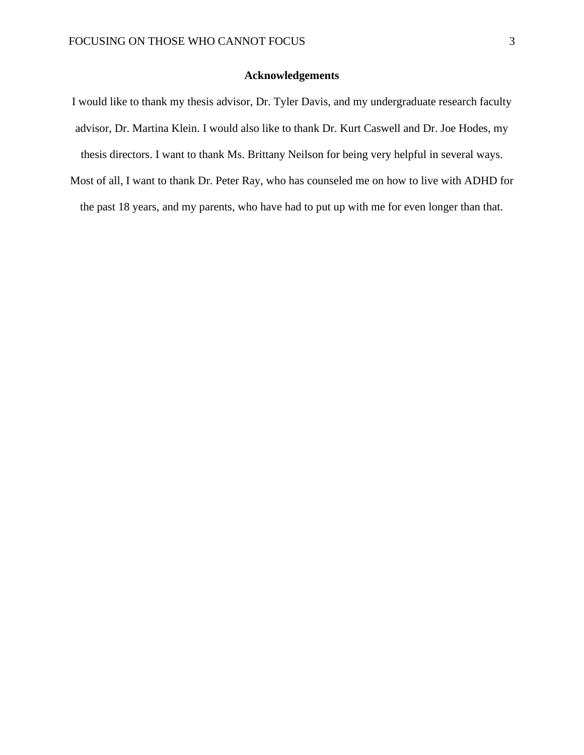## **Acknowledgements**

- I would like to thank my thesis advisor, Dr. Tyler Davis, and my undergraduate research faculty advisor, Dr. Martina Klein. I would also like to thank Dr. Kurt Caswell and Dr. Joe Hodes, my thesis directors. I want to thank Ms. Brittany Neilson for being very helpful in several ways.
- Most of all, I want to thank Dr. Peter Ray, who has counseled me on how to live with ADHD for the past 18 years, and my parents, who have had to put up with me for even longer than that.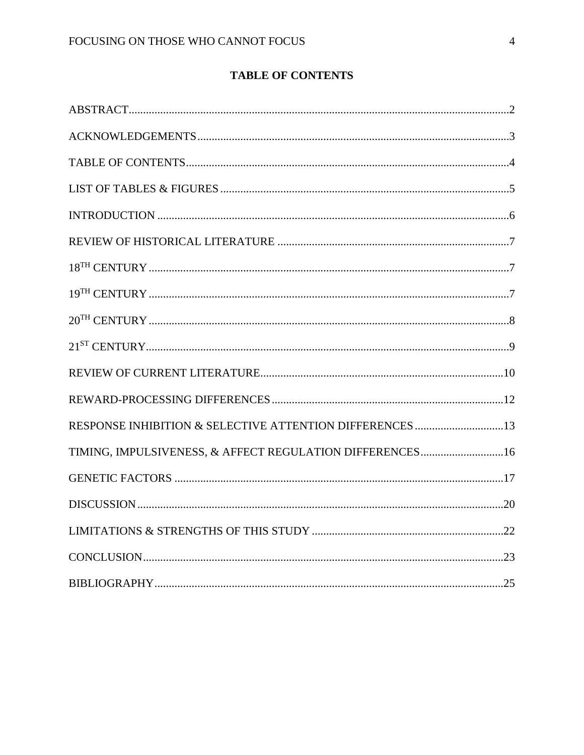## **TABLE OF CONTENTS**

| RESPONSE INHIBITION & SELECTIVE ATTENTION DIFFERENCES 13 |  |
|----------------------------------------------------------|--|
| TIMING, IMPULSIVENESS, & AFFECT REGULATION DIFFERENCES16 |  |
|                                                          |  |
|                                                          |  |
|                                                          |  |
|                                                          |  |
|                                                          |  |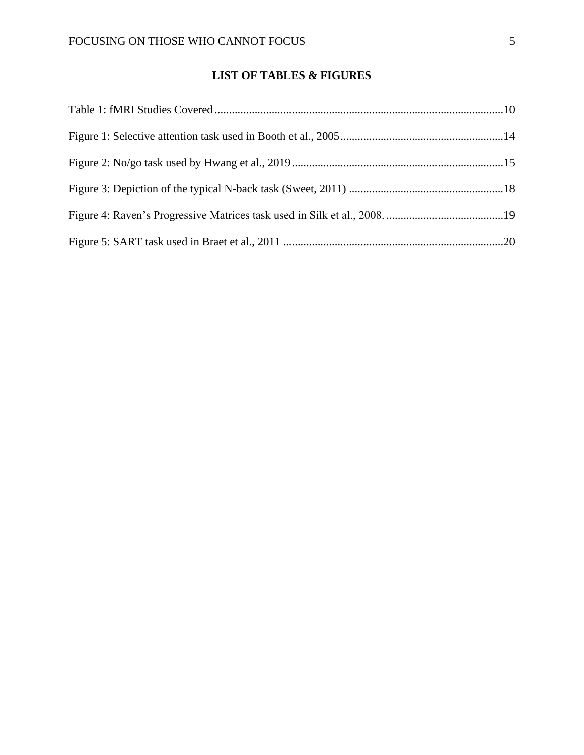## **LIST OF TABLES & FIGURES**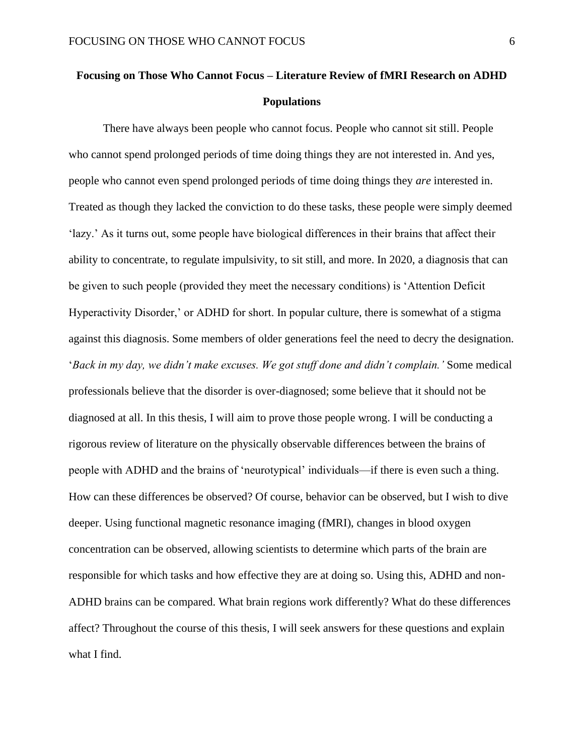# **Focusing on Those Who Cannot Focus – Literature Review of fMRI Research on ADHD Populations**

There have always been people who cannot focus. People who cannot sit still. People who cannot spend prolonged periods of time doing things they are not interested in. And yes, people who cannot even spend prolonged periods of time doing things they *are* interested in. Treated as though they lacked the conviction to do these tasks, these people were simply deemed 'lazy.' As it turns out, some people have biological differences in their brains that affect their ability to concentrate, to regulate impulsivity, to sit still, and more. In 2020, a diagnosis that can be given to such people (provided they meet the necessary conditions) is 'Attention Deficit Hyperactivity Disorder,' or ADHD for short. In popular culture, there is somewhat of a stigma against this diagnosis. Some members of older generations feel the need to decry the designation. '*Back in my day, we didn't make excuses. We got stuff done and didn't complain.'* Some medical professionals believe that the disorder is over-diagnosed; some believe that it should not be diagnosed at all. In this thesis, I will aim to prove those people wrong. I will be conducting a rigorous review of literature on the physically observable differences between the brains of people with ADHD and the brains of 'neurotypical' individuals—if there is even such a thing. How can these differences be observed? Of course, behavior can be observed, but I wish to dive deeper. Using functional magnetic resonance imaging (fMRI), changes in blood oxygen concentration can be observed, allowing scientists to determine which parts of the brain are responsible for which tasks and how effective they are at doing so. Using this, ADHD and non-ADHD brains can be compared. What brain regions work differently? What do these differences affect? Throughout the course of this thesis, I will seek answers for these questions and explain what I find.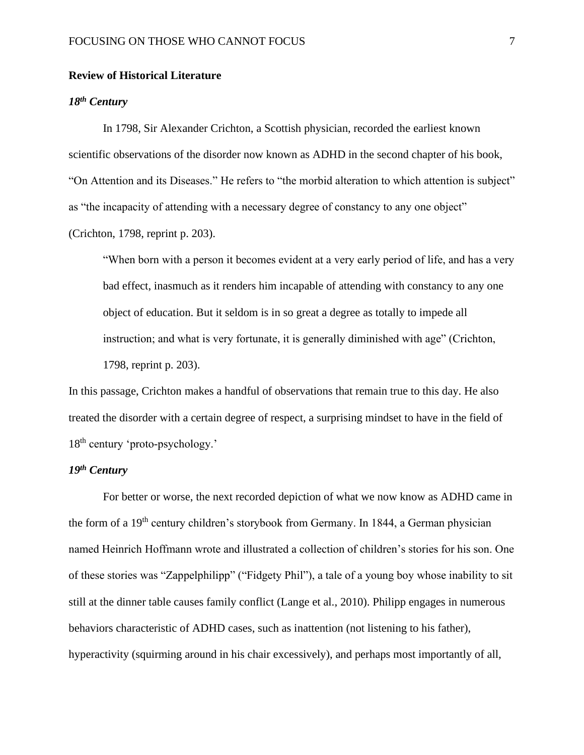## **Review of Historical Literature**

## *18th Century*

In 1798, Sir Alexander Crichton, a Scottish physician, recorded the earliest known scientific observations of the disorder now known as ADHD in the second chapter of his book, "On Attention and its Diseases." He refers to "the morbid alteration to which attention is subject" as "the incapacity of attending with a necessary degree of constancy to any one object" (Crichton, 1798, reprint p. 203).

"When born with a person it becomes evident at a very early period of life, and has a very bad effect, inasmuch as it renders him incapable of attending with constancy to any one object of education. But it seldom is in so great a degree as totally to impede all instruction; and what is very fortunate, it is generally diminished with age" (Crichton, 1798, reprint p. 203).

In this passage, Crichton makes a handful of observations that remain true to this day. He also treated the disorder with a certain degree of respect, a surprising mindset to have in the field of 18<sup>th</sup> century 'proto-psychology.'

## *19th Century*

For better or worse, the next recorded depiction of what we now know as ADHD came in the form of a 19th century children's storybook from Germany. In 1844, a German physician named Heinrich Hoffmann wrote and illustrated a collection of children's stories for his son. One of these stories was "Zappelphilipp" ("Fidgety Phil"), a tale of a young boy whose inability to sit still at the dinner table causes family conflict (Lange et al., 2010). Philipp engages in numerous behaviors characteristic of ADHD cases, such as inattention (not listening to his father), hyperactivity (squirming around in his chair excessively), and perhaps most importantly of all,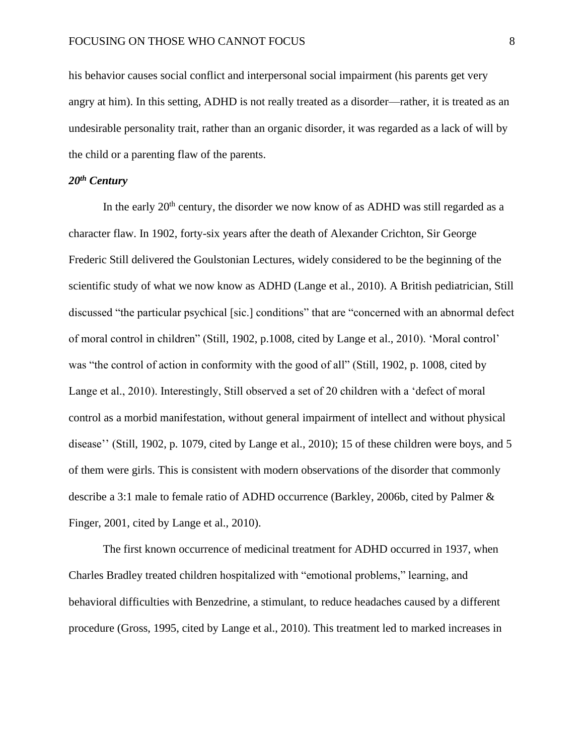his behavior causes social conflict and interpersonal social impairment (his parents get very angry at him). In this setting, ADHD is not really treated as a disorder—rather, it is treated as an undesirable personality trait, rather than an organic disorder, it was regarded as a lack of will by the child or a parenting flaw of the parents.

## *20th Century*

In the early  $20<sup>th</sup>$  century, the disorder we now know of as ADHD was still regarded as a character flaw. In 1902, forty-six years after the death of Alexander Crichton, Sir George Frederic Still delivered the Goulstonian Lectures, widely considered to be the beginning of the scientific study of what we now know as ADHD (Lange et al., 2010). A British pediatrician, Still discussed "the particular psychical [sic.] conditions" that are "concerned with an abnormal defect of moral control in children" (Still, 1902, p.1008, cited by Lange et al., 2010). 'Moral control' was "the control of action in conformity with the good of all" (Still, 1902, p. 1008, cited by Lange et al., 2010). Interestingly, Still observed a set of 20 children with a 'defect of moral control as a morbid manifestation, without general impairment of intellect and without physical disease'' (Still, 1902, p. 1079, cited by Lange et al., 2010); 15 of these children were boys, and 5 of them were girls. This is consistent with modern observations of the disorder that commonly describe a 3:1 male to female ratio of ADHD occurrence (Barkley, 2006b, cited by Palmer & Finger, 2001, cited by Lange et al., 2010).

The first known occurrence of medicinal treatment for ADHD occurred in 1937, when Charles Bradley treated children hospitalized with "emotional problems," learning, and behavioral difficulties with Benzedrine, a stimulant, to reduce headaches caused by a different procedure (Gross, 1995, cited by Lange et al., 2010). This treatment led to marked increases in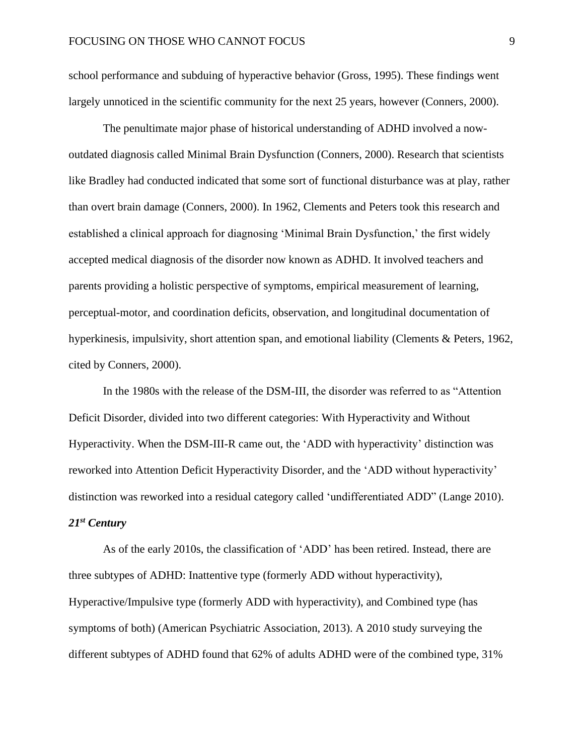school performance and subduing of hyperactive behavior (Gross, 1995). These findings went largely unnoticed in the scientific community for the next 25 years, however (Conners, 2000).

The penultimate major phase of historical understanding of ADHD involved a nowoutdated diagnosis called Minimal Brain Dysfunction (Conners, 2000). Research that scientists like Bradley had conducted indicated that some sort of functional disturbance was at play, rather than overt brain damage (Conners, 2000). In 1962, Clements and Peters took this research and established a clinical approach for diagnosing 'Minimal Brain Dysfunction,' the first widely accepted medical diagnosis of the disorder now known as ADHD. It involved teachers and parents providing a holistic perspective of symptoms, empirical measurement of learning, perceptual-motor, and coordination deficits, observation, and longitudinal documentation of hyperkinesis, impulsivity, short attention span, and emotional liability (Clements & Peters, 1962, cited by Conners, 2000).

In the 1980s with the release of the DSM-III, the disorder was referred to as "Attention Deficit Disorder, divided into two different categories: With Hyperactivity and Without Hyperactivity. When the DSM-III-R came out, the 'ADD with hyperactivity' distinction was reworked into Attention Deficit Hyperactivity Disorder, and the 'ADD without hyperactivity' distinction was reworked into a residual category called 'undifferentiated ADD" (Lange 2010). *21st Century*

As of the early 2010s, the classification of 'ADD' has been retired. Instead, there are three subtypes of ADHD: Inattentive type (formerly ADD without hyperactivity), Hyperactive/Impulsive type (formerly ADD with hyperactivity), and Combined type (has symptoms of both) (American Psychiatric Association, 2013). A 2010 study surveying the different subtypes of ADHD found that 62% of adults ADHD were of the combined type, 31%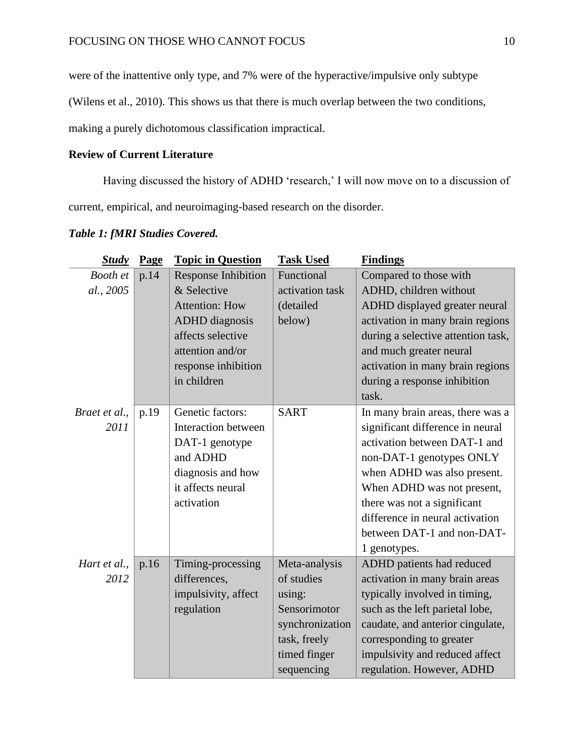were of the inattentive only type, and 7% were of the hyperactive/impulsive only subtype

(Wilens et al., 2010). This shows us that there is much overlap between the two conditions,

making a purely dichotomous classification impractical.

## **Review of Current Literature**

Having discussed the history of ADHD 'research,' I will now move on to a discussion of current, empirical, and neuroimaging-based research on the disorder.

| <b>Study</b>  | Page | <b>Topic in Question</b>   | <b>Task Used</b> | <b>Findings</b>                    |
|---------------|------|----------------------------|------------------|------------------------------------|
| Booth et      | p.14 | <b>Response Inhibition</b> | Functional       | Compared to those with             |
| al., 2005     |      | & Selective                | activation task  | ADHD, children without             |
|               |      | <b>Attention: How</b>      | (detailed        | ADHD displayed greater neural      |
|               |      | <b>ADHD</b> diagnosis      | below)           | activation in many brain regions   |
|               |      | affects selective          |                  | during a selective attention task, |
|               |      | attention and/or           |                  | and much greater neural            |
|               |      | response inhibition        |                  | activation in many brain regions   |
|               |      | in children                |                  | during a response inhibition       |
|               |      |                            |                  | task.                              |
| Braet et al., | p.19 | Genetic factors:           | <b>SART</b>      | In many brain areas, there was a   |
| 2011          |      | <b>Interaction between</b> |                  | significant difference in neural   |
|               |      | DAT-1 genotype             |                  | activation between DAT-1 and       |
|               |      | and ADHD                   |                  | non-DAT-1 genotypes ONLY           |
|               |      | diagnosis and how          |                  | when ADHD was also present.        |
|               |      | it affects neural          |                  | When ADHD was not present,         |
|               |      | activation                 |                  | there was not a significant        |
|               |      |                            |                  | difference in neural activation    |
|               |      |                            |                  | between DAT-1 and non-DAT-         |
|               |      |                            |                  | 1 genotypes.                       |
| Hart et al.,  | p.16 | Timing-processing          | Meta-analysis    | ADHD patients had reduced          |
| 2012          |      | differences,               | of studies       | activation in many brain areas     |
|               |      | impulsivity, affect        | using:           | typically involved in timing,      |
|               |      | regulation                 | Sensorimotor     | such as the left parietal lobe,    |
|               |      |                            | synchronization  | caudate, and anterior cingulate,   |
|               |      |                            | task, freely     | corresponding to greater           |
|               |      |                            | timed finger     | impulsivity and reduced affect     |
|               |      |                            | sequencing       | regulation. However, ADHD          |

## *Table 1: fMRI Studies Covered.*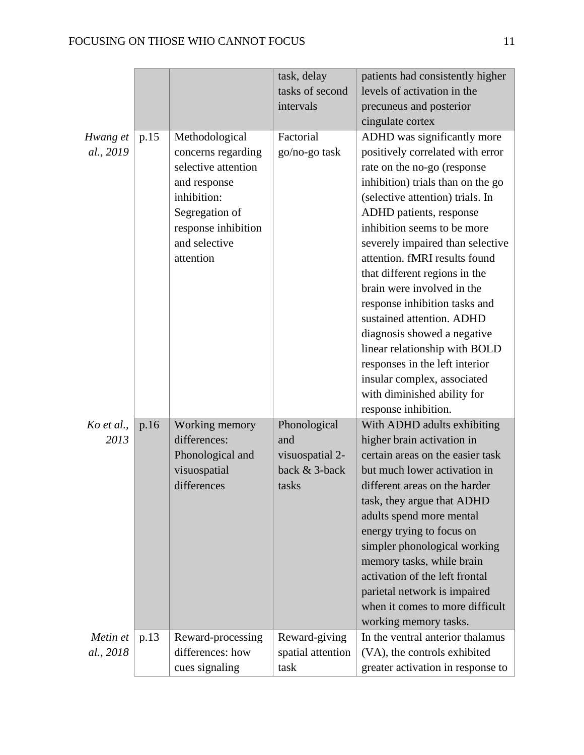|                       |      |                                                                                                                                                                   | task, delay<br>tasks of second                                   | patients had consistently higher<br>levels of activation in the                                                                                                                                                                                                                                                                                                                                                                                                                                                                                                      |
|-----------------------|------|-------------------------------------------------------------------------------------------------------------------------------------------------------------------|------------------------------------------------------------------|----------------------------------------------------------------------------------------------------------------------------------------------------------------------------------------------------------------------------------------------------------------------------------------------------------------------------------------------------------------------------------------------------------------------------------------------------------------------------------------------------------------------------------------------------------------------|
|                       |      |                                                                                                                                                                   | intervals                                                        | precuneus and posterior                                                                                                                                                                                                                                                                                                                                                                                                                                                                                                                                              |
|                       |      |                                                                                                                                                                   |                                                                  | cingulate cortex                                                                                                                                                                                                                                                                                                                                                                                                                                                                                                                                                     |
| Hwang et<br>al., 2019 | p.15 | Methodological<br>concerns regarding<br>selective attention<br>and response<br>inhibition:<br>Segregation of<br>response inhibition<br>and selective<br>attention | Factorial<br>go/no-go task                                       | ADHD was significantly more<br>positively correlated with error<br>rate on the no-go (response<br>inhibition) trials than on the go<br>(selective attention) trials. In<br>ADHD patients, response<br>inhibition seems to be more<br>severely impaired than selective<br>attention. fMRI results found<br>that different regions in the<br>brain were involved in the<br>response inhibition tasks and<br>sustained attention. ADHD<br>diagnosis showed a negative<br>linear relationship with BOLD<br>responses in the left interior<br>insular complex, associated |
|                       |      |                                                                                                                                                                   |                                                                  | with diminished ability for<br>response inhibition.                                                                                                                                                                                                                                                                                                                                                                                                                                                                                                                  |
| Ko et al.,<br>2013    | p.16 | Working memory<br>differences:<br>Phonological and<br>visuospatial<br>differences                                                                                 | Phonological<br>and<br>visuospatial 2-<br>back & 3-back<br>tasks | With ADHD adults exhibiting<br>higher brain activation in<br>certain areas on the easier task<br>but much lower activation in<br>different areas on the harder<br>task, they argue that ADHD<br>adults spend more mental<br>energy trying to focus on<br>simpler phonological working<br>memory tasks, while brain<br>activation of the left frontal<br>parietal network is impaired<br>when it comes to more difficult<br>working memory tasks.                                                                                                                     |
| Metin et<br>al., 2018 | p.13 | Reward-processing<br>differences: how<br>cues signaling                                                                                                           | Reward-giving<br>spatial attention<br>task                       | In the ventral anterior thalamus<br>(VA), the controls exhibited<br>greater activation in response to                                                                                                                                                                                                                                                                                                                                                                                                                                                                |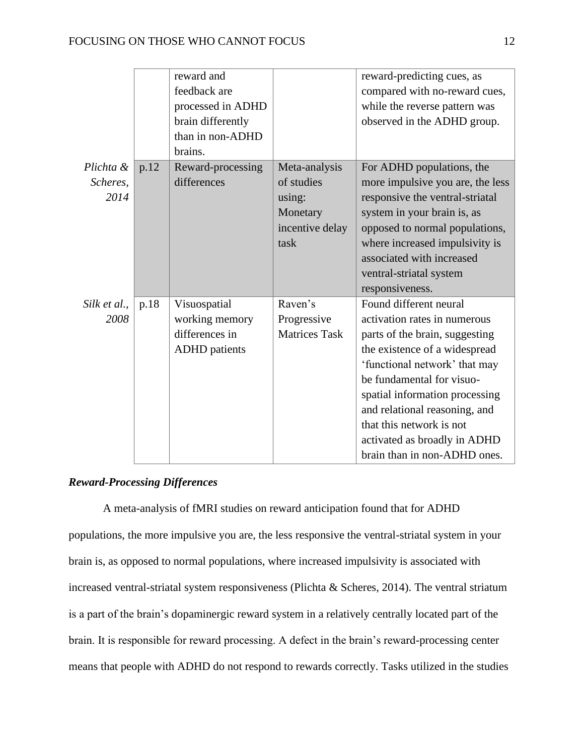|              |      | reward and           |                      | reward-predicting cues, as       |
|--------------|------|----------------------|----------------------|----------------------------------|
|              |      | feedback are         |                      | compared with no-reward cues,    |
|              |      | processed in ADHD    |                      | while the reverse pattern was    |
|              |      | brain differently    |                      | observed in the ADHD group.      |
|              |      | than in non-ADHD     |                      |                                  |
|              |      | brains.              |                      |                                  |
| Plichta &    | p.12 | Reward-processing    | Meta-analysis        | For ADHD populations, the        |
| Scheres,     |      | differences          | of studies           | more impulsive you are, the less |
| 2014         |      |                      | using:               | responsive the ventral-striatal  |
|              |      |                      | Monetary             | system in your brain is, as      |
|              |      |                      | incentive delay      | opposed to normal populations,   |
|              |      |                      | task                 | where increased impulsivity is   |
|              |      |                      |                      | associated with increased        |
|              |      |                      |                      | ventral-striatal system          |
|              |      |                      |                      | responsiveness.                  |
| Silk et al., | p.18 | Visuospatial         | Raven's              | Found different neural           |
| 2008         |      | working memory       | Progressive          | activation rates in numerous     |
|              |      | differences in       | <b>Matrices Task</b> | parts of the brain, suggesting   |
|              |      | <b>ADHD</b> patients |                      | the existence of a widespread    |
|              |      |                      |                      | 'functional network' that may    |
|              |      |                      |                      | be fundamental for visuo-        |
|              |      |                      |                      | spatial information processing   |
|              |      |                      |                      | and relational reasoning, and    |
|              |      |                      |                      | that this network is not         |
|              |      |                      |                      | activated as broadly in ADHD     |
|              |      |                      |                      | brain than in non-ADHD ones.     |

## *Reward-Processing Differences*

A meta-analysis of fMRI studies on reward anticipation found that for ADHD populations, the more impulsive you are, the less responsive the ventral-striatal system in your brain is, as opposed to normal populations, where increased impulsivity is associated with increased ventral-striatal system responsiveness (Plichta & Scheres, 2014). The ventral striatum is a part of the brain's dopaminergic reward system in a relatively centrally located part of the brain. It is responsible for reward processing. A defect in the brain's reward-processing center means that people with ADHD do not respond to rewards correctly. Tasks utilized in the studies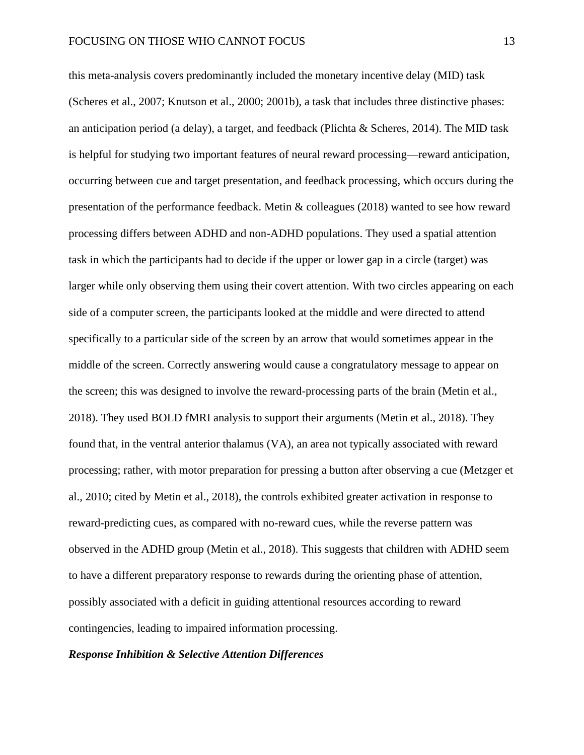this meta-analysis covers predominantly included the monetary incentive delay (MID) task (Scheres et al., 2007; Knutson et al., 2000; 2001b), a task that includes three distinctive phases: an anticipation period (a delay), a target, and feedback (Plichta & Scheres, 2014). The MID task is helpful for studying two important features of neural reward processing—reward anticipation, occurring between cue and target presentation, and feedback processing, which occurs during the presentation of the performance feedback. Metin & colleagues (2018) wanted to see how reward processing differs between ADHD and non-ADHD populations. They used a spatial attention task in which the participants had to decide if the upper or lower gap in a circle (target) was larger while only observing them using their covert attention. With two circles appearing on each side of a computer screen, the participants looked at the middle and were directed to attend specifically to a particular side of the screen by an arrow that would sometimes appear in the middle of the screen. Correctly answering would cause a congratulatory message to appear on the screen; this was designed to involve the reward-processing parts of the brain (Metin et al., 2018). They used BOLD fMRI analysis to support their arguments (Metin et al., 2018). They found that, in the ventral anterior thalamus (VA), an area not typically associated with reward processing; rather, with motor preparation for pressing a button after observing a cue (Metzger et al., 2010; cited by Metin et al., 2018), the controls exhibited greater activation in response to reward-predicting cues, as compared with no-reward cues, while the reverse pattern was observed in the ADHD group (Metin et al., 2018). This suggests that children with ADHD seem to have a different preparatory response to rewards during the orienting phase of attention, possibly associated with a deficit in guiding attentional resources according to reward contingencies, leading to impaired information processing.

## *Response Inhibition & Selective Attention Differences*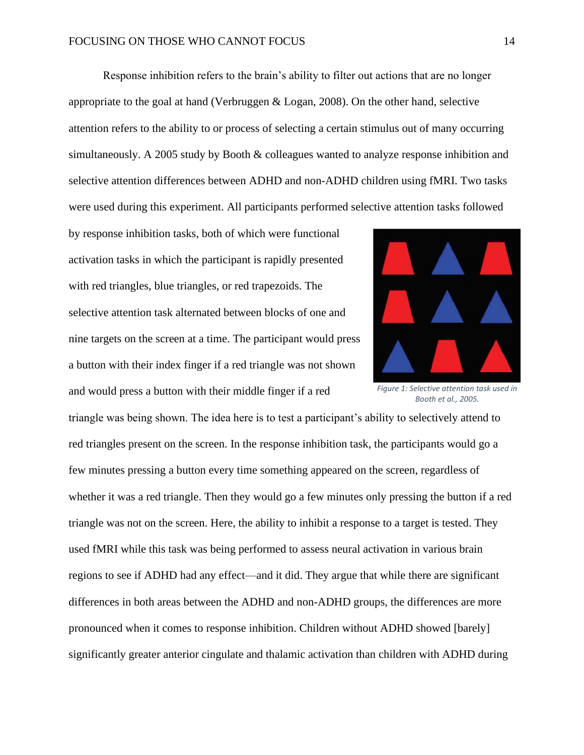Response inhibition refers to the brain's ability to filter out actions that are no longer appropriate to the goal at hand (Verbruggen & Logan, 2008). On the other hand, selective attention refers to the ability to or process of selecting a certain stimulus out of many occurring simultaneously. A 2005 study by Booth & colleagues wanted to analyze response inhibition and selective attention differences between ADHD and non-ADHD children using fMRI. Two tasks were used during this experiment. All participants performed selective attention tasks followed

by response inhibition tasks, both of which were functional activation tasks in which the participant is rapidly presented with red triangles, blue triangles, or red trapezoids. The selective attention task alternated between blocks of one and nine targets on the screen at a time. The participant would press a button with their index finger if a red triangle was not shown and would press a button with their middle finger if a red



*Figure 1: Selective attention task used in Booth et al., 2005.*

triangle was being shown. The idea here is to test a participant's ability to selectively attend to red triangles present on the screen. In the response inhibition task, the participants would go a few minutes pressing a button every time something appeared on the screen, regardless of whether it was a red triangle. Then they would go a few minutes only pressing the button if a red triangle was not on the screen. Here, the ability to inhibit a response to a target is tested. They used fMRI while this task was being performed to assess neural activation in various brain regions to see if ADHD had any effect—and it did. They argue that while there are significant differences in both areas between the ADHD and non-ADHD groups, the differences are more pronounced when it comes to response inhibition. Children without ADHD showed [barely] significantly greater anterior cingulate and thalamic activation than children with ADHD during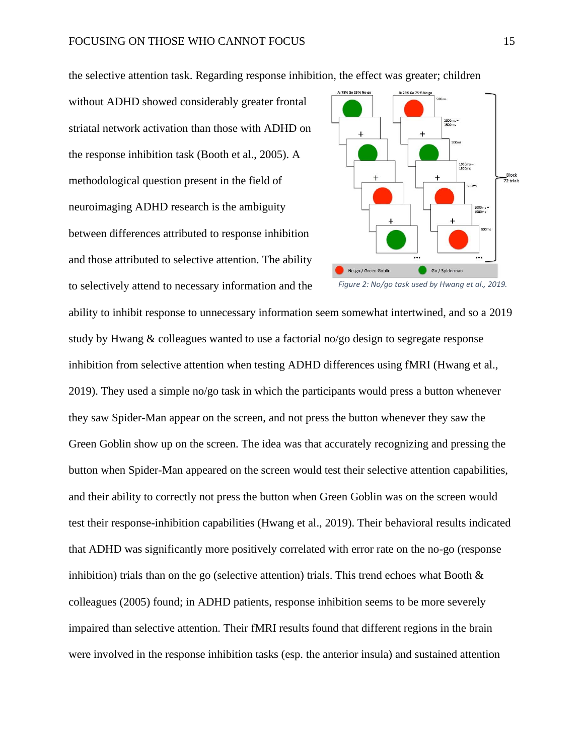1000ms -<br>1500ms Block<br>72 trials No-go / Green Goblin Go / Spiderman *Figure 2: No/go task used by Hwang et al., 2019.*

the selective attention task. Regarding response inhibition, the effect was greater; children

without ADHD showed considerably greater frontal striatal network activation than those with ADHD on the response inhibition task (Booth et al., 2005). A methodological question present in the field of neuroimaging ADHD research is the ambiguity between differences attributed to response inhibition and those attributed to selective attention. The ability to selectively attend to necessary information and the

ability to inhibit response to unnecessary information seem somewhat intertwined, and so a 2019 study by Hwang & colleagues wanted to use a factorial no/go design to segregate response

inhibition from selective attention when testing ADHD differences using fMRI (Hwang et al., 2019). They used a simple no/go task in which the participants would press a button whenever they saw Spider-Man appear on the screen, and not press the button whenever they saw the Green Goblin show up on the screen. The idea was that accurately recognizing and pressing the button when Spider-Man appeared on the screen would test their selective attention capabilities, and their ability to correctly not press the button when Green Goblin was on the screen would test their response-inhibition capabilities (Hwang et al., 2019). Their behavioral results indicated that ADHD was significantly more positively correlated with error rate on the no-go (response inhibition) trials than on the go (selective attention) trials. This trend echoes what Booth  $\&$ colleagues (2005) found; in ADHD patients, response inhibition seems to be more severely impaired than selective attention. Their fMRI results found that different regions in the brain were involved in the response inhibition tasks (esp. the anterior insula) and sustained attention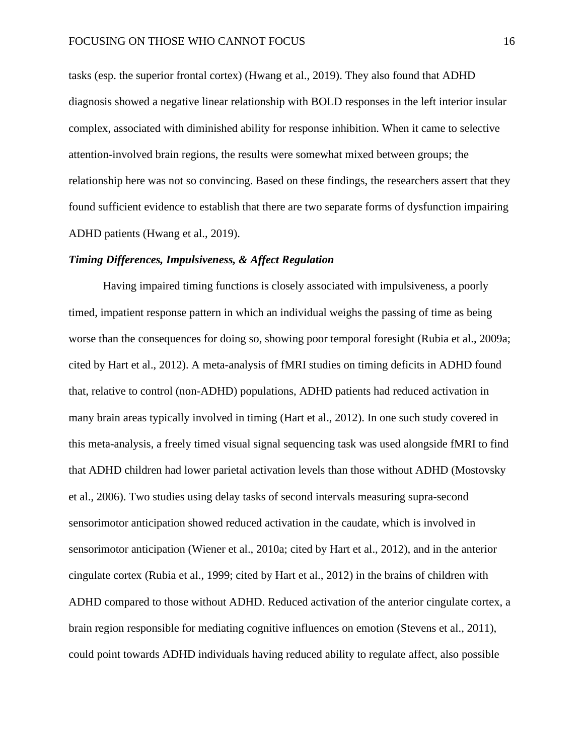tasks (esp. the superior frontal cortex) (Hwang et al., 2019). They also found that ADHD diagnosis showed a negative linear relationship with BOLD responses in the left interior insular complex, associated with diminished ability for response inhibition. When it came to selective attention-involved brain regions, the results were somewhat mixed between groups; the relationship here was not so convincing. Based on these findings, the researchers assert that they found sufficient evidence to establish that there are two separate forms of dysfunction impairing ADHD patients (Hwang et al., 2019).

#### *Timing Differences, Impulsiveness, & Affect Regulation*

Having impaired timing functions is closely associated with impulsiveness, a poorly timed, impatient response pattern in which an individual weighs the passing of time as being worse than the consequences for doing so, showing poor temporal foresight (Rubia et al., 2009a; cited by Hart et al., 2012). A meta-analysis of fMRI studies on timing deficits in ADHD found that, relative to control (non-ADHD) populations, ADHD patients had reduced activation in many brain areas typically involved in timing (Hart et al., 2012). In one such study covered in this meta-analysis, a freely timed visual signal sequencing task was used alongside fMRI to find that ADHD children had lower parietal activation levels than those without ADHD (Mostovsky et al., 2006). Two studies using delay tasks of second intervals measuring supra-second sensorimotor anticipation showed reduced activation in the caudate, which is involved in sensorimotor anticipation (Wiener et al., 2010a; cited by Hart et al., 2012), and in the anterior cingulate cortex (Rubia et al., 1999; cited by Hart et al., 2012) in the brains of children with ADHD compared to those without ADHD. Reduced activation of the anterior cingulate cortex, a brain region responsible for mediating cognitive influences on emotion (Stevens et al., 2011), could point towards ADHD individuals having reduced ability to regulate affect, also possible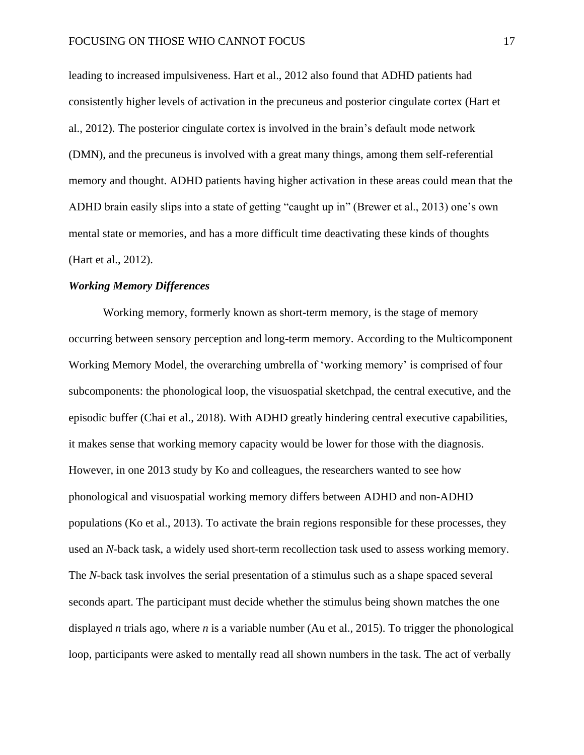leading to increased impulsiveness. Hart et al., 2012 also found that ADHD patients had consistently higher levels of activation in the precuneus and posterior cingulate cortex (Hart et al., 2012). The posterior cingulate cortex is involved in the brain's default mode network (DMN), and the precuneus is involved with a great many things, among them self-referential memory and thought. ADHD patients having higher activation in these areas could mean that the ADHD brain easily slips into a state of getting "caught up in" (Brewer et al., 2013) one's own mental state or memories, and has a more difficult time deactivating these kinds of thoughts (Hart et al., 2012).

## *Working Memory Differences*

Working memory, formerly known as short-term memory, is the stage of memory occurring between sensory perception and long-term memory. According to the Multicomponent Working Memory Model, the overarching umbrella of 'working memory' is comprised of four subcomponents: the phonological loop, the visuospatial sketchpad, the central executive, and the episodic buffer (Chai et al., 2018). With ADHD greatly hindering central executive capabilities, it makes sense that working memory capacity would be lower for those with the diagnosis. However, in one 2013 study by Ko and colleagues, the researchers wanted to see how phonological and visuospatial working memory differs between ADHD and non-ADHD populations (Ko et al., 2013). To activate the brain regions responsible for these processes, they used an *N*-back task, a widely used short-term recollection task used to assess working memory. The *N-*back task involves the serial presentation of a stimulus such as a shape spaced several seconds apart. The participant must decide whether the stimulus being shown matches the one displayed *n* trials ago, where *n* is a variable number (Au et al., 2015). To trigger the phonological loop, participants were asked to mentally read all shown numbers in the task. The act of verbally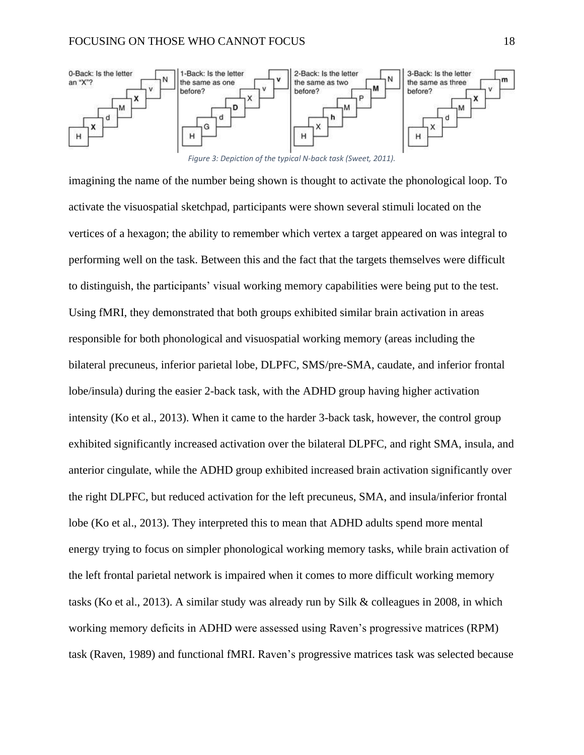

*Figure 3: Depiction of the typical N-back task (Sweet, 2011).*

imagining the name of the number being shown is thought to activate the phonological loop. To activate the visuospatial sketchpad, participants were shown several stimuli located on the vertices of a hexagon; the ability to remember which vertex a target appeared on was integral to performing well on the task. Between this and the fact that the targets themselves were difficult to distinguish, the participants' visual working memory capabilities were being put to the test. Using fMRI, they demonstrated that both groups exhibited similar brain activation in areas responsible for both phonological and visuospatial working memory (areas including the bilateral precuneus, inferior parietal lobe, DLPFC, SMS/pre-SMA, caudate, and inferior frontal lobe/insula) during the easier 2-back task, with the ADHD group having higher activation intensity (Ko et al., 2013). When it came to the harder 3-back task, however, the control group exhibited significantly increased activation over the bilateral DLPFC, and right SMA, insula, and anterior cingulate, while the ADHD group exhibited increased brain activation significantly over the right DLPFC, but reduced activation for the left precuneus, SMA, and insula/inferior frontal lobe (Ko et al., 2013). They interpreted this to mean that ADHD adults spend more mental energy trying to focus on simpler phonological working memory tasks, while brain activation of the left frontal parietal network is impaired when it comes to more difficult working memory tasks (Ko et al., 2013). A similar study was already run by Silk & colleagues in 2008, in which working memory deficits in ADHD were assessed using Raven's progressive matrices (RPM) task (Raven, 1989) and functional fMRI. Raven's progressive matrices task was selected because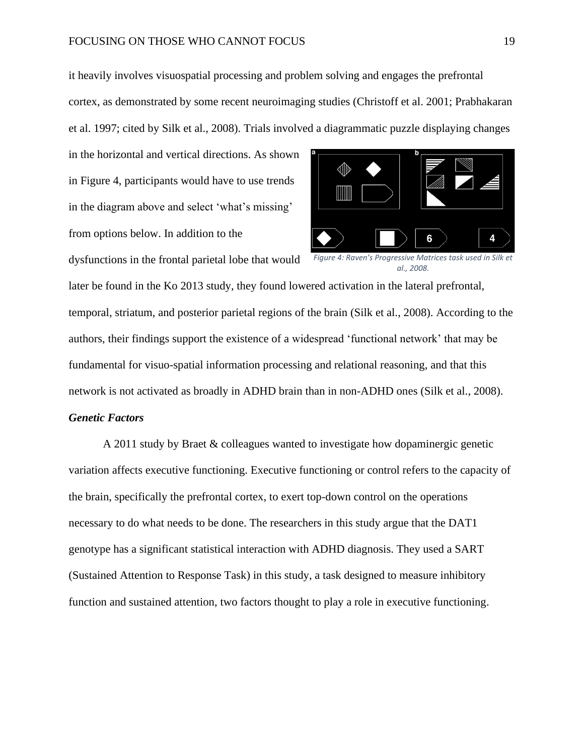## FOCUSING ON THOSE WHO CANNOT FOCUS 19

it heavily involves visuospatial processing and problem solving and engages the prefrontal cortex, as demonstrated by some recent neuroimaging studies (Christoff et al. 2001; Prabhakaran et al. 1997; cited by Silk et al., 2008). Trials involved a diagrammatic puzzle displaying changes

in the horizontal and vertical directions. As shown in Figure 4, participants would have to use trends in the diagram above and select 'what's missing' from options below. In addition to the

dysfunctions in the frontal parietal lobe that would



*Figure 4: Raven's Progressive Matrices task used in Silk et al., 2008.*

later be found in the Ko 2013 study, they found lowered activation in the lateral prefrontal, temporal, striatum, and posterior parietal regions of the brain (Silk et al., 2008). According to the authors, their findings support the existence of a widespread 'functional network' that may be fundamental for visuo-spatial information processing and relational reasoning, and that this network is not activated as broadly in ADHD brain than in non-ADHD ones (Silk et al., 2008).

## *Genetic Factors*

A 2011 study by Braet & colleagues wanted to investigate how dopaminergic genetic variation affects executive functioning. Executive functioning or control refers to the capacity of the brain, specifically the prefrontal cortex, to exert top-down control on the operations necessary to do what needs to be done. The researchers in this study argue that the DAT1 genotype has a significant statistical interaction with ADHD diagnosis. They used a SART (Sustained Attention to Response Task) in this study, a task designed to measure inhibitory function and sustained attention, two factors thought to play a role in executive functioning.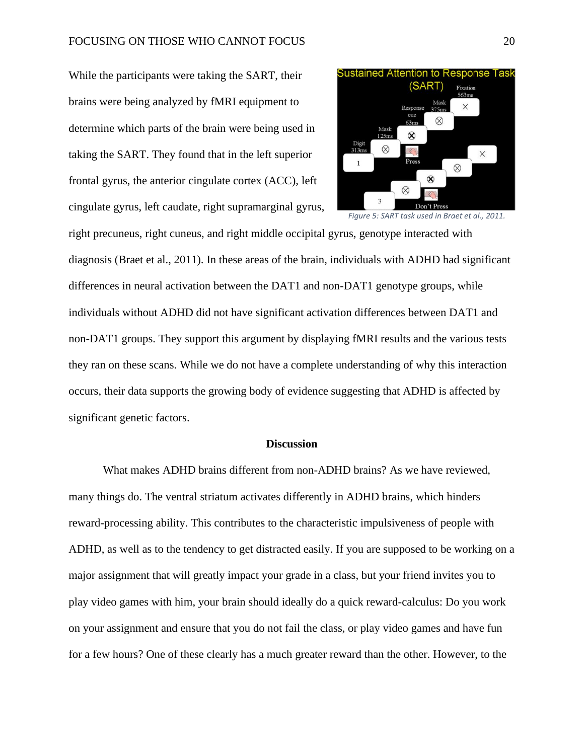## FOCUSING ON THOSE WHO CANNOT FOCUS 20

While the participants were taking the SART, their brains were being analyzed by fMRI equipment to determine which parts of the brain were being used in taking the SART. They found that in the left superior frontal gyrus, the anterior cingulate cortex (ACC), left cingulate gyrus, left caudate, right supramarginal gyrus,





right precuneus, right cuneus, and right middle occipital gyrus, genotype interacted with diagnosis (Braet et al., 2011). In these areas of the brain, individuals with ADHD had significant differences in neural activation between the DAT1 and non-DAT1 genotype groups, while individuals without ADHD did not have significant activation differences between DAT1 and non-DAT1 groups. They support this argument by displaying fMRI results and the various tests they ran on these scans. While we do not have a complete understanding of why this interaction occurs, their data supports the growing body of evidence suggesting that ADHD is affected by significant genetic factors.

#### **Discussion**

What makes ADHD brains different from non-ADHD brains? As we have reviewed, many things do. The ventral striatum activates differently in ADHD brains, which hinders reward-processing ability. This contributes to the characteristic impulsiveness of people with ADHD, as well as to the tendency to get distracted easily. If you are supposed to be working on a major assignment that will greatly impact your grade in a class, but your friend invites you to play video games with him, your brain should ideally do a quick reward-calculus: Do you work on your assignment and ensure that you do not fail the class, or play video games and have fun for a few hours? One of these clearly has a much greater reward than the other. However, to the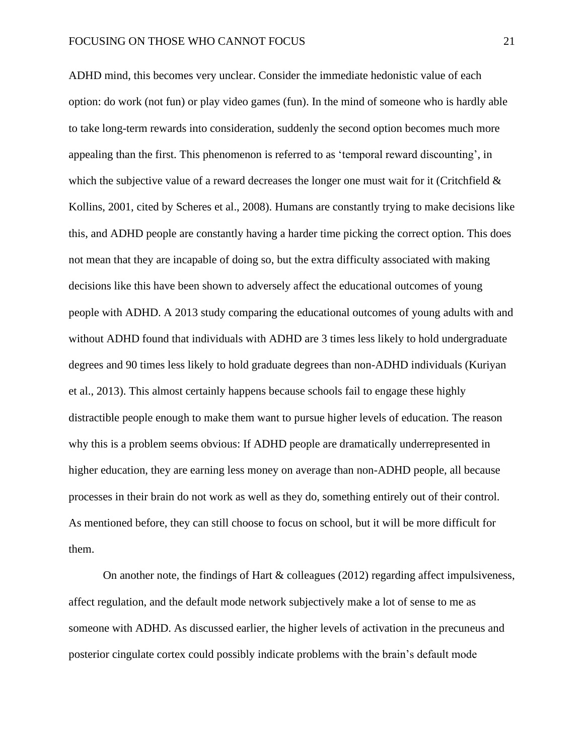ADHD mind, this becomes very unclear. Consider the immediate hedonistic value of each option: do work (not fun) or play video games (fun). In the mind of someone who is hardly able to take long-term rewards into consideration, suddenly the second option becomes much more appealing than the first. This phenomenon is referred to as 'temporal reward discounting', in which the subjective value of a reward decreases the longer one must wait for it (Critchfield  $\&$ Kollins, 2001, cited by Scheres et al., 2008). Humans are constantly trying to make decisions like this, and ADHD people are constantly having a harder time picking the correct option. This does not mean that they are incapable of doing so, but the extra difficulty associated with making decisions like this have been shown to adversely affect the educational outcomes of young people with ADHD. A 2013 study comparing the educational outcomes of young adults with and without ADHD found that individuals with ADHD are 3 times less likely to hold undergraduate degrees and 90 times less likely to hold graduate degrees than non-ADHD individuals (Kuriyan et al., 2013). This almost certainly happens because schools fail to engage these highly distractible people enough to make them want to pursue higher levels of education. The reason why this is a problem seems obvious: If ADHD people are dramatically underrepresented in higher education, they are earning less money on average than non-ADHD people, all because processes in their brain do not work as well as they do, something entirely out of their control. As mentioned before, they can still choose to focus on school, but it will be more difficult for them.

On another note, the findings of Hart  $&$  colleagues (2012) regarding affect impulsiveness, affect regulation, and the default mode network subjectively make a lot of sense to me as someone with ADHD. As discussed earlier, the higher levels of activation in the precuneus and posterior cingulate cortex could possibly indicate problems with the brain's default mode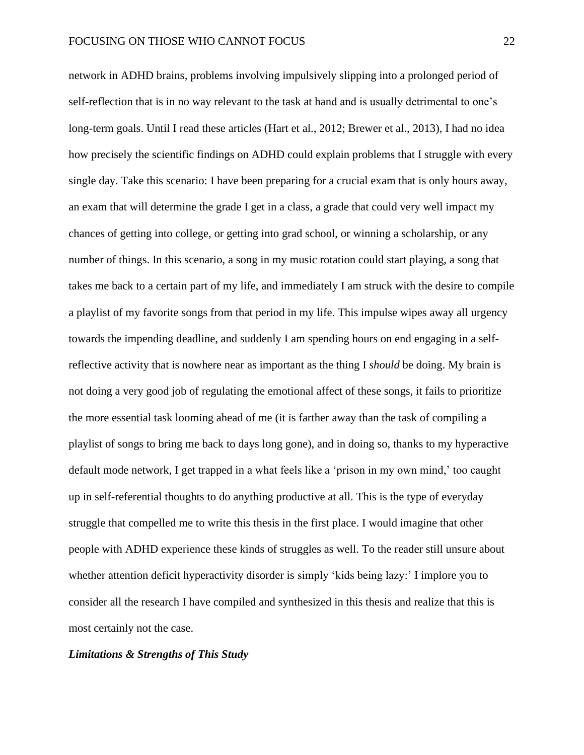network in ADHD brains, problems involving impulsively slipping into a prolonged period of self-reflection that is in no way relevant to the task at hand and is usually detrimental to one's long-term goals. Until I read these articles (Hart et al., 2012; Brewer et al., 2013), I had no idea how precisely the scientific findings on ADHD could explain problems that I struggle with every single day. Take this scenario: I have been preparing for a crucial exam that is only hours away, an exam that will determine the grade I get in a class, a grade that could very well impact my chances of getting into college, or getting into grad school, or winning a scholarship, or any number of things. In this scenario, a song in my music rotation could start playing, a song that takes me back to a certain part of my life, and immediately I am struck with the desire to compile a playlist of my favorite songs from that period in my life. This impulse wipes away all urgency towards the impending deadline, and suddenly I am spending hours on end engaging in a selfreflective activity that is nowhere near as important as the thing I *should* be doing. My brain is not doing a very good job of regulating the emotional affect of these songs, it fails to prioritize the more essential task looming ahead of me (it is farther away than the task of compiling a playlist of songs to bring me back to days long gone), and in doing so, thanks to my hyperactive default mode network, I get trapped in a what feels like a 'prison in my own mind,' too caught up in self-referential thoughts to do anything productive at all. This is the type of everyday struggle that compelled me to write this thesis in the first place. I would imagine that other people with ADHD experience these kinds of struggles as well. To the reader still unsure about whether attention deficit hyperactivity disorder is simply 'kids being lazy:' I implore you to consider all the research I have compiled and synthesized in this thesis and realize that this is most certainly not the case.

## *Limitations & Strengths of This Study*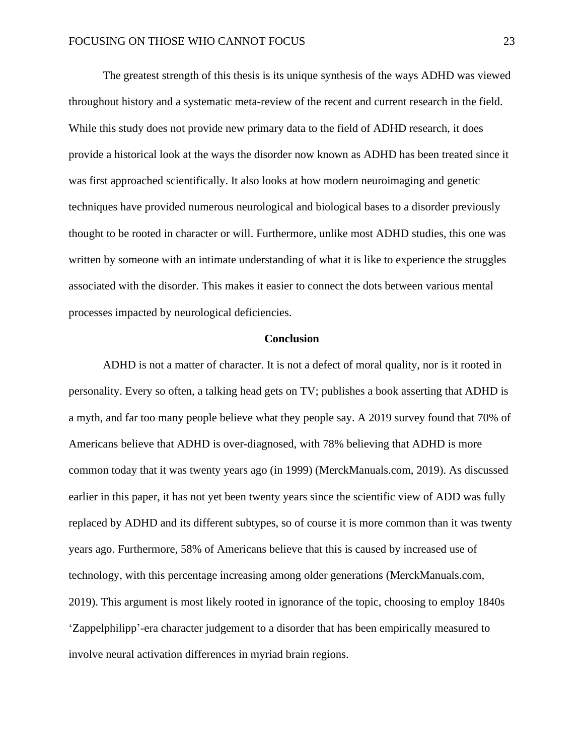The greatest strength of this thesis is its unique synthesis of the ways ADHD was viewed throughout history and a systematic meta-review of the recent and current research in the field. While this study does not provide new primary data to the field of ADHD research, it does provide a historical look at the ways the disorder now known as ADHD has been treated since it was first approached scientifically. It also looks at how modern neuroimaging and genetic techniques have provided numerous neurological and biological bases to a disorder previously thought to be rooted in character or will. Furthermore, unlike most ADHD studies, this one was written by someone with an intimate understanding of what it is like to experience the struggles associated with the disorder. This makes it easier to connect the dots between various mental processes impacted by neurological deficiencies.

#### **Conclusion**

ADHD is not a matter of character. It is not a defect of moral quality, nor is it rooted in personality. Every so often, a talking head gets on TV; publishes a book asserting that ADHD is a myth, and far too many people believe what they people say. A 2019 survey found that 70% of Americans believe that ADHD is over-diagnosed, with 78% believing that ADHD is more common today that it was twenty years ago (in 1999) (MerckManuals.com, 2019). As discussed earlier in this paper, it has not yet been twenty years since the scientific view of ADD was fully replaced by ADHD and its different subtypes, so of course it is more common than it was twenty years ago. Furthermore, 58% of Americans believe that this is caused by increased use of technology, with this percentage increasing among older generations (MerckManuals.com, 2019). This argument is most likely rooted in ignorance of the topic, choosing to employ 1840s 'Zappelphilipp'-era character judgement to a disorder that has been empirically measured to involve neural activation differences in myriad brain regions.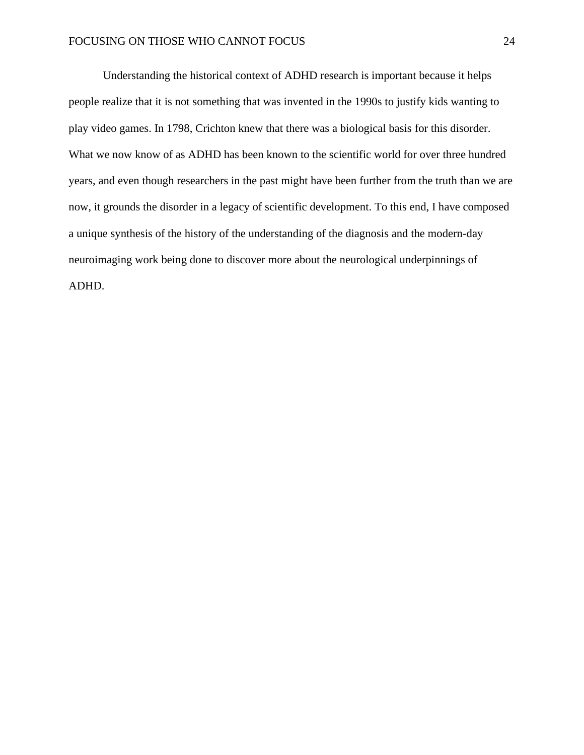Understanding the historical context of ADHD research is important because it helps people realize that it is not something that was invented in the 1990s to justify kids wanting to play video games. In 1798, Crichton knew that there was a biological basis for this disorder. What we now know of as ADHD has been known to the scientific world for over three hundred years, and even though researchers in the past might have been further from the truth than we are now, it grounds the disorder in a legacy of scientific development. To this end, I have composed a unique synthesis of the history of the understanding of the diagnosis and the modern-day neuroimaging work being done to discover more about the neurological underpinnings of ADHD.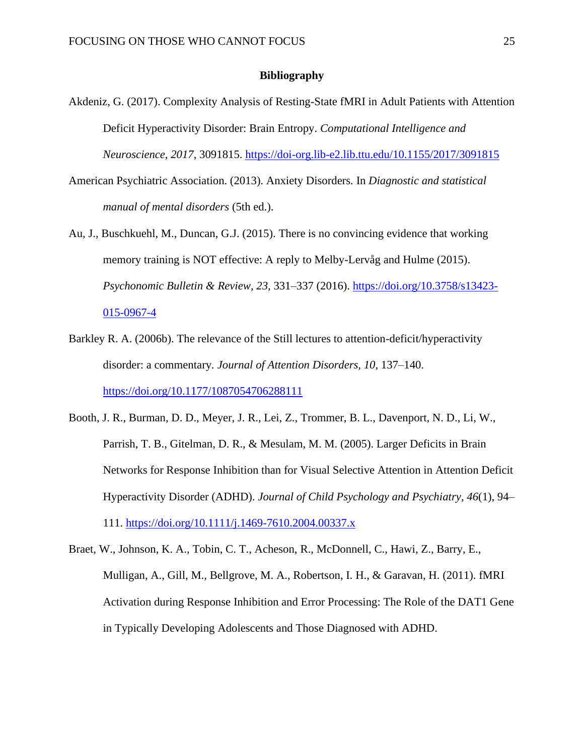## **Bibliography**

- Akdeniz, G. (2017). Complexity Analysis of Resting-State fMRI in Adult Patients with Attention Deficit Hyperactivity Disorder: Brain Entropy. *Computational Intelligence and Neuroscience*, *2017*, 3091815.<https://doi-org.lib-e2.lib.ttu.edu/10.1155/2017/3091815>
- American Psychiatric Association. (2013). Anxiety Disorders*.* In *Diagnostic and statistical manual of mental disorders* (5th ed.).
- Au, J., Buschkuehl, M., Duncan, G.J. (2015). There is no convincing evidence that working memory training is NOT effective: A reply to Melby-Lervåg and Hulme (2015). *Psychonomic Bulletin & Review, 23,* 331–337 (2016). [https://doi.org/10.3758/s13423-](https://doi.org/10.3758/s13423-015-0967-4) [015-0967-4](https://doi.org/10.3758/s13423-015-0967-4)
- Barkley R. A. (2006b). The relevance of the Still lectures to attention-deficit/hyperactivity disorder: a commentary*. Journal of Attention Disorders, 10,* 137–140. <https://doi.org/10.1177/1087054706288111>
- Booth, J. R., Burman, D. D., Meyer, J. R., Lei, Z., Trommer, B. L., Davenport, N. D., Li, W., Parrish, T. B., Gitelman, D. R., & Mesulam, M. M. (2005). Larger Deficits in Brain Networks for Response Inhibition than for Visual Selective Attention in Attention Deficit Hyperactivity Disorder (ADHD). *Journal of Child Psychology and Psychiatry*, *46*(1), 94– 111.<https://doi.org/10.1111/j.1469-7610.2004.00337.x>
- Braet, W., Johnson, K. A., Tobin, C. T., Acheson, R., McDonnell, C., Hawi, Z., Barry, E., Mulligan, A., Gill, M., Bellgrove, M. A., Robertson, I. H., & Garavan, H. (2011). fMRI Activation during Response Inhibition and Error Processing: The Role of the DAT1 Gene in Typically Developing Adolescents and Those Diagnosed with ADHD.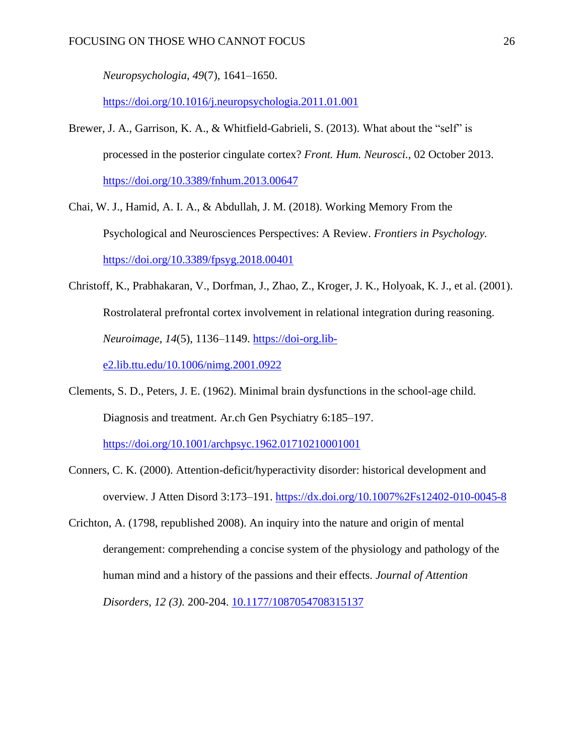*Neuropsychologia*, *49*(7), 1641–1650.

<https://doi.org/10.1016/j.neuropsychologia.2011.01.001>

- Brewer, J. A., Garrison, K. A., & Whitfield-Gabrieli, S. (2013). What about the "self" is processed in the posterior cingulate cortex? *Front. Hum. Neurosci.,* 02 October 2013. <https://doi.org/10.3389/fnhum.2013.00647>
- Chai, W. J., Hamid, A. I. A., & Abdullah, J. M. (2018). Working Memory From the Psychological and Neurosciences Perspectives: A Review. *Frontiers in Psychology.*  <https://doi.org/10.3389/fpsyg.2018.00401>
- Christoff, K., Prabhakaran, V., Dorfman, J., Zhao, Z., Kroger, J. K., Holyoak, K. J., et al. (2001). Rostrolateral prefrontal cortex involvement in relational integration during reasoning. *Neuroimage*, *14*(5), 1136–1149. [https://doi-org.lib-](https://doi-org.lib-e2.lib.ttu.edu/10.1006/nimg.2001.0922)

[e2.lib.ttu.edu/10.1006/nimg.2001.0922](https://doi-org.lib-e2.lib.ttu.edu/10.1006/nimg.2001.0922)

Clements, S. D., Peters, J. E. (1962). Minimal brain dysfunctions in the school-age child. Diagnosis and treatment. Ar.ch Gen Psychiatry 6:185–197.

<https://doi.org/10.1001/archpsyc.1962.01710210001001>

- Conners, C. K. (2000). Attention-deficit/hyperactivity disorder: historical development and overview. J Atten Disord 3:173–191.<https://dx.doi.org/10.1007%2Fs12402-010-0045-8>
- Crichton, A. (1798, republished 2008). An inquiry into the nature and origin of mental derangement: comprehending a concise system of the physiology and pathology of the human mind and a history of the passions and their effects. *Journal of Attention Disorders, 12 (3).* 200-204. [10.1177/1087054708315137](https://doi-org.lib-e2.lib.ttu.edu/10.1177%2F1087054708315137)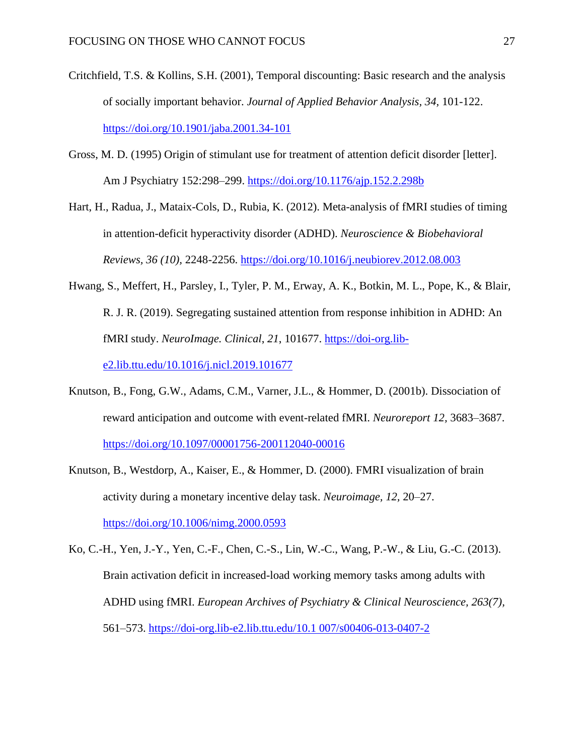- Critchfield, T.S. & Kollins, S.H. (2001), Temporal discounting: Basic research and the analysis of socially important behavior. *Journal of Applied Behavior Analysis, 34,* 101-122. <https://doi.org/10.1901/jaba.2001.34-101>
- Gross, M. D. (1995) Origin of stimulant use for treatment of attention deficit disorder [letter]. Am J Psychiatry 152:298–299.<https://doi.org/10.1176/ajp.152.2.298b>

Hart, H., Radua, J., Mataix-Cols, D., Rubia, K. (2012). Meta-analysis of fMRI studies of timing in attention-deficit hyperactivity disorder (ADHD). *Neuroscience & Biobehavioral Reviews, 36 (10),* 2248-2256.<https://doi.org/10.1016/j.neubiorev.2012.08.003>

- Hwang, S., Meffert, H., Parsley, I., Tyler, P. M., Erway, A. K., Botkin, M. L., Pope, K., & Blair, R. J. R. (2019). Segregating sustained attention from response inhibition in ADHD: An fMRI study. *NeuroImage. Clinical*, *21*, 101677. [https://doi-org.lib](https://doi-org.lib-e2.lib.ttu.edu/10.1016/j.nicl.2019.101677)[e2.lib.ttu.edu/10.1016/j.nicl.2019.101677](https://doi-org.lib-e2.lib.ttu.edu/10.1016/j.nicl.2019.101677)
- Knutson, B., Fong, G.W., Adams, C.M., Varner, J.L., & Hommer, D. (2001b). Dissociation of reward anticipation and outcome with event-related fMRI. *Neuroreport 12,* 3683–3687. <https://doi.org/10.1097/00001756-200112040-00016>
- Knutson, B., Westdorp, A., Kaiser, E., & Hommer, D. (2000). FMRI visualization of brain activity during a monetary incentive delay task. *Neuroimage, 12,* 20–27. <https://doi.org/10.1006/nimg.2000.0593>
- Ko, C.-H., Yen, J.-Y., Yen, C.-F., Chen, C.-S., Lin, W.-C., Wang, P.-W., & Liu, G.-C. (2013). Brain activation deficit in increased-load working memory tasks among adults with ADHD using fMRI. *European Archives of Psychiatry & Clinical Neuroscience, 263(7),*  561–573. [https://doi-org.lib-e2.lib.ttu.edu/10.1 007/s00406-013-0407-2](https://doi-org.lib-e2.lib.ttu.edu/10.1%20007/s00406-013-0407-2)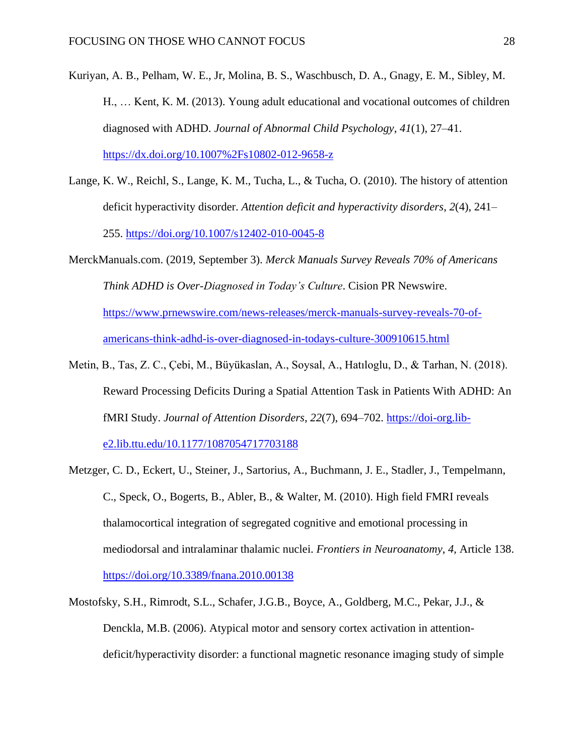- Kuriyan, A. B., Pelham, W. E., Jr, Molina, B. S., Waschbusch, D. A., Gnagy, E. M., Sibley, M. H., … Kent, K. M. (2013). Young adult educational and vocational outcomes of children diagnosed with ADHD. *Journal of Abnormal Child Psychology*, *41*(1), 27–41. <https://dx.doi.org/10.1007%2Fs10802-012-9658-z>
- Lange, K. W., Reichl, S., Lange, K. M., Tucha, L., & Tucha, O. (2010). The history of attention deficit hyperactivity disorder. *Attention deficit and hyperactivity disorders*, *2*(4), 241– 255.<https://doi.org/10.1007/s12402-010-0045-8>

MerckManuals.com. (2019, September 3). *Merck Manuals Survey Reveals 70% of Americans Think ADHD is Over-Diagnosed in Today's Culture*. Cision PR Newswire. [https://www.prnewswire.com/news-releases/merck-manuals-survey-reveals-70-of](https://www.prnewswire.com/news-releases/merck-manuals-survey-reveals-70-of-americans-think-adhd-is-over-diagnosed-in-todays-culture-300910615.html)[americans-think-adhd-is-over-diagnosed-in-todays-culture-300910615.html](https://www.prnewswire.com/news-releases/merck-manuals-survey-reveals-70-of-americans-think-adhd-is-over-diagnosed-in-todays-culture-300910615.html)

- Metin, B., Tas, Z. C., Çebi, M., Büyükaslan, A., Soysal, A., Hatıloglu, D., & Tarhan, N. (2018). Reward Processing Deficits During a Spatial Attention Task in Patients With ADHD: An fMRI Study. *Journal of Attention Disorders*, *22*(7), 694–702. [https://doi-org.lib](https://doi-org.lib-e2.lib.ttu.edu/10.1177/1087054717703188)[e2.lib.ttu.edu/10.1177/1087054717703188](https://doi-org.lib-e2.lib.ttu.edu/10.1177/1087054717703188)
- Metzger, C. D., Eckert, U., Steiner, J., Sartorius, A., Buchmann, J. E., Stadler, J., Tempelmann, C., Speck, O., Bogerts, B., Abler, B., & Walter, M. (2010). High field FMRI reveals thalamocortical integration of segregated cognitive and emotional processing in mediodorsal and intralaminar thalamic nuclei. *Frontiers in Neuroanatomy*, *4*, Article 138. <https://doi.org/10.3389/fnana.2010.00138>
- Mostofsky, S.H., Rimrodt, S.L., Schafer, J.G.B., Boyce, A., Goldberg, M.C., Pekar, J.J., & Denckla, M.B. (2006). Atypical motor and sensory cortex activation in attentiondeficit/hyperactivity disorder: a functional magnetic resonance imaging study of simple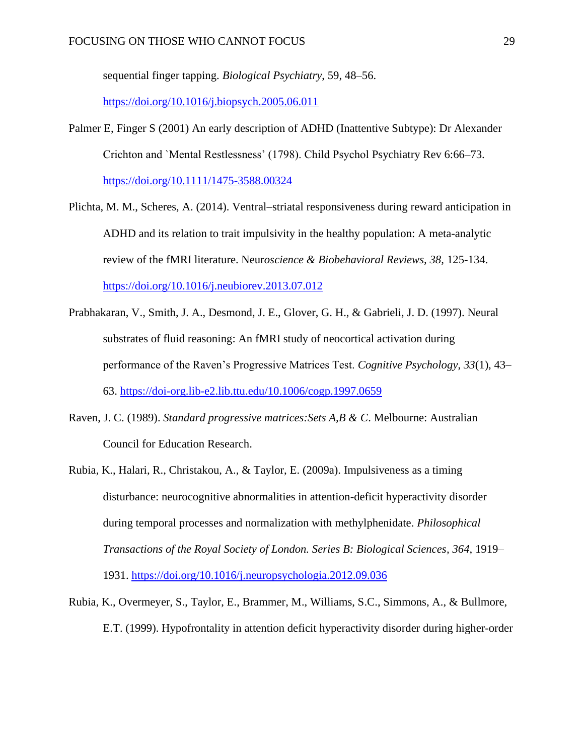sequential finger tapping. *Biological Psychiatry*, 59, 48–56.

<https://doi.org/10.1016/j.biopsych.2005.06.011>

- Palmer E, Finger S (2001) An early description of ADHD (Inattentive Subtype): Dr Alexander Crichton and `Mental Restlessness' (1798). Child Psychol Psychiatry Rev 6:66–73. <https://doi.org/10.1111/1475-3588.00324>
- Plichta, M. M., Scheres, A. (2014). Ventral–striatal responsiveness during reward anticipation in ADHD and its relation to trait impulsivity in the healthy population: A meta-analytic review of the fMRI literature. Neur*oscience & Biobehavioral Reviews, 38,* 125-134. <https://doi.org/10.1016/j.neubiorev.2013.07.012>
- Prabhakaran, V., Smith, J. A., Desmond, J. E., Glover, G. H., & Gabrieli, J. D. (1997). Neural substrates of fluid reasoning: An fMRI study of neocortical activation during performance of the Raven's Progressive Matrices Test. *Cognitive Psychology*, *33*(1), 43– 63. <https://doi-org.lib-e2.lib.ttu.edu/10.1006/cogp.1997.0659>
- Raven, J. C. (1989). *Standard progressive matrices:Sets A,B & C*. Melbourne: Australian Council for Education Research.
- Rubia, K., Halari, R., Christakou, A., & Taylor, E. (2009a). Impulsiveness as a timing disturbance: neurocognitive abnormalities in attention-deficit hyperactivity disorder during temporal processes and normalization with methylphenidate. *Philosophical Transactions of the Royal Society of London. Series B: Biological Sciences, 364*, 1919– 1931. <https://doi.org/10.1016/j.neuropsychologia.2012.09.036>
- Rubia, K., Overmeyer, S., Taylor, E., Brammer, M., Williams, S.C., Simmons, A., & Bullmore, E.T. (1999). Hypofrontality in attention deficit hyperactivity disorder during higher-order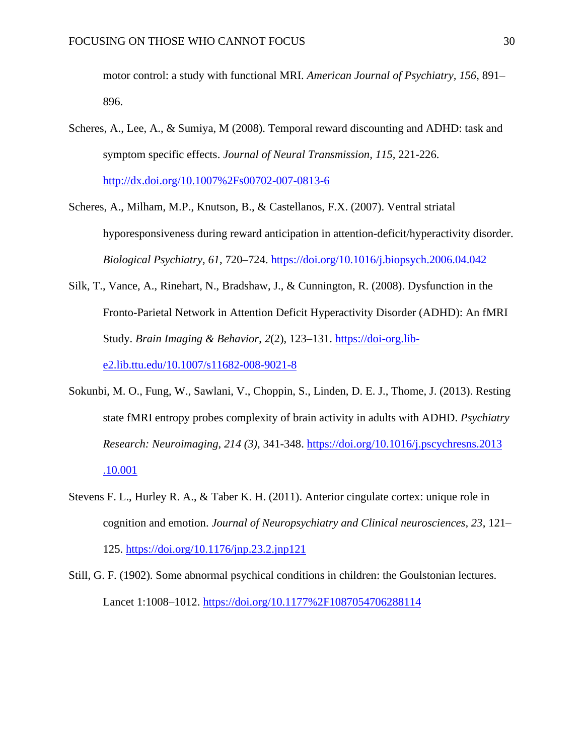motor control: a study with functional MRI. *American Journal of Psychiatry, 156,* 891– 896.

- Scheres, A., Lee, A., & Sumiya, M (2008). Temporal reward discounting and ADHD: task and symptom specific effects. *Journal of Neural Transmission, 115,* 221-226. <http://dx.doi.org/10.1007%2Fs00702-007-0813-6>
- Scheres, A., Milham, M.P., Knutson, B., & Castellanos, F.X. (2007). Ventral striatal hyporesponsiveness during reward anticipation in attention-deficit/hyperactivity disorder. *Biological Psychiatry, 61*, 720–724. <https://doi.org/10.1016/j.biopsych.2006.04.042>
- Silk, T., Vance, A., Rinehart, N., Bradshaw, J., & Cunnington, R. (2008). Dysfunction in the Fronto-Parietal Network in Attention Deficit Hyperactivity Disorder (ADHD): An fMRI Study. *Brain Imaging & Behavior*, *2*(2), 123–131. [https://doi-org.lib](https://doi-org.lib-e2.lib.ttu.edu/10.1007/s11682-008-9021-8)[e2.lib.ttu.edu/10.1007/s11682-008-9021-8](https://doi-org.lib-e2.lib.ttu.edu/10.1007/s11682-008-9021-8)
- Sokunbi, M. O., Fung, W., Sawlani, V., Choppin, S., Linden, D. E. J., Thome, J. (2013). Resting state fMRI entropy probes complexity of brain activity in adults with ADHD. *Psychiatry Research: Neuroimaging*, *214 (3)*, 341-348. [https://doi.org/10.1016/j.pscychresns.2013](https://doi.org/10.1016/j.pscychresns.2013.10.001)  [.10.001](https://doi.org/10.1016/j.pscychresns.2013.10.001)
- Stevens F. L., Hurley R. A., & Taber K. H. (2011). Anterior cingulate cortex: unique role in cognition and emotion. *Journal of Neuropsychiatry and Clinical neurosciences, 23*, 121– 125. <https://doi.org/10.1176/jnp.23.2.jnp121>
- Still, G. F. (1902). Some abnormal psychical conditions in children: the Goulstonian lectures. Lancet 1:1008–1012.<https://doi.org/10.1177%2F1087054706288114>